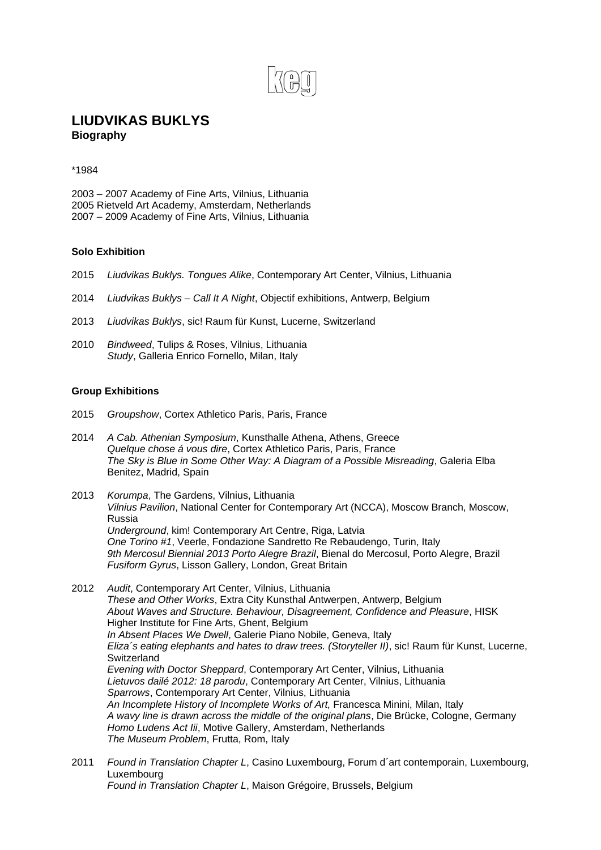

## **LIUDVIKAS BUKLYS Biography**

## \*1984

2003 – 2007 Academy of Fine Arts, Vilnius, Lithuania 2005 Rietveld Art Academy, Amsterdam, Netherlands 2007 – 2009 Academy of Fine Arts, Vilnius, Lithuania

## **Solo Exhibition**

- 2015 *Liudvikas Buklys. Tongues Alike*, Contemporary Art Center, Vilnius, Lithuania
- 2014 *Liudvikas Buklys Call It A Night*, Objectif exhibitions, Antwerp, Belgium
- 2013 *Liudvikas Buklys*, sic! Raum für Kunst, Lucerne, Switzerland
- 2010 *Bindweed*, Tulips & Roses, Vilnius, Lithuania *Study*, Galleria Enrico Fornello, Milan, Italy

## **Group Exhibitions**

- 2015 *Groupshow*, Cortex Athletico Paris, Paris, France
- 2014 *A Cab. Athenian Symposium*, Kunsthalle Athena, Athens, Greece *Quelque chose á vous dire*, Cortex Athletico Paris, Paris, France *The Sky is Blue in Some Other Way: A Diagram of a Possible Misreading*, Galeria Elba Benitez, Madrid, Spain
- 2013 *Korumpa*, The Gardens, Vilnius, Lithuania *Vilnius Pavilion*, National Center for Contemporary Art (NCCA), Moscow Branch, Moscow, Russia *Underground*, kim! Contemporary Art Centre, Riga, Latvia *One Torino #1*, Veerle, Fondazione Sandretto Re Rebaudengo, Turin, Italy *9th Mercosul Biennial 2013 Porto Alegre Brazil*, Bienal do Mercosul, Porto Alegre, Brazil *Fusiform Gyrus*, Lisson Gallery, London, Great Britain
- 2012 *Audit*, Contemporary Art Center, Vilnius, Lithuania *These and Other Works*, Extra City Kunsthal Antwerpen, Antwerp, Belgium *About Waves and Structure. Behaviour, Disagreement, Confidence and Pleasure*, HISK Higher Institute for Fine Arts, Ghent, Belgium *In Absent Places We Dwell*, Galerie Piano Nobile, Geneva, Italy *Eliza´s eating elephants and hates to draw trees. (Storyteller II)*, sic! Raum für Kunst, Lucerne, **Switzerland** *Evening with Doctor Sheppard*, Contemporary Art Center, Vilnius, Lithuania *Lietuvos dailé 2012: 18 parodu*, Contemporary Art Center, Vilnius, Lithuania *Sparrows*, Contemporary Art Center, Vilnius, Lithuania *An Incomplete History of Incomplete Works of Art,* Francesca Minini, Milan, Italy *A wavy line is drawn across the middle of the original plans*, Die Brücke, Cologne, Germany *Homo Ludens Act Iii*, Motive Gallery, Amsterdam, Netherlands *The Museum Problem*, Frutta, Rom, Italy
- 2011 *Found in Translation Chapter L*, Casino Luxembourg, Forum d´art contemporain, Luxembourg, Luxembourg *Found in Translation Chapter L*, Maison Grégoire, Brussels, Belgium